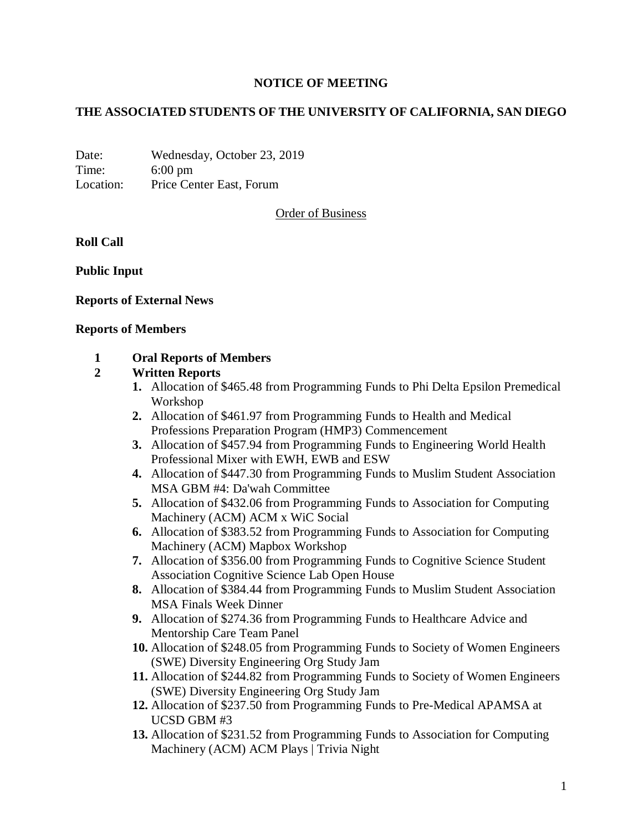### **NOTICE OF MEETING**

### **THE ASSOCIATED STUDENTS OF THE UNIVERSITY OF CALIFORNIA, SAN DIEGO**

Date: Wednesday, October 23, 2019 Time: 6:00 pm Location: Price Center East, Forum

Order of Business

#### **Roll Call**

**Public Input**

#### **Reports of External News**

#### **Reports of Members**

#### **1 Oral Reports of Members**

#### **2 Written Reports**

- **1.** Allocation of \$465.48 from Programming Funds to Phi Delta Epsilon Premedical Workshop
- **2.** Allocation of \$461.97 from Programming Funds to Health and Medical Professions Preparation Program (HMP3) Commencement
- **3.** Allocation of \$457.94 from Programming Funds to Engineering World Health Professional Mixer with EWH, EWB and ESW
- **4.** Allocation of \$447.30 from Programming Funds to Muslim Student Association MSA GBM #4: Da'wah Committee
- **5.** Allocation of \$432.06 from Programming Funds to Association for Computing Machinery (ACM) ACM x WiC Social
- **6.** Allocation of \$383.52 from Programming Funds to Association for Computing Machinery (ACM) Mapbox Workshop
- **7.** Allocation of \$356.00 from Programming Funds to Cognitive Science Student Association Cognitive Science Lab Open House
- **8.** Allocation of \$384.44 from Programming Funds to Muslim Student Association MSA Finals Week Dinner
- **9.** Allocation of \$274.36 from Programming Funds to Healthcare Advice and Mentorship Care Team Panel
- **10.** Allocation of \$248.05 from Programming Funds to Society of Women Engineers (SWE) Diversity Engineering Org Study Jam
- **11.** Allocation of \$244.82 from Programming Funds to Society of Women Engineers (SWE) Diversity Engineering Org Study Jam
- **12.** Allocation of \$237.50 from Programming Funds to Pre-Medical APAMSA at UCSD GBM #3
- **13.** Allocation of \$231.52 from Programming Funds to Association for Computing Machinery (ACM) ACM Plays | Trivia Night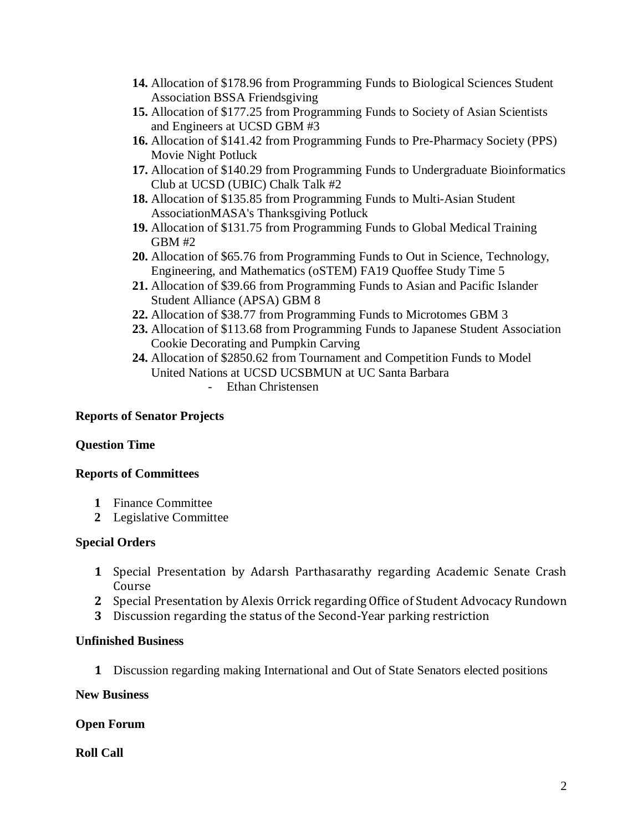- **14.** Allocation of \$178.96 from Programming Funds to Biological Sciences Student Association BSSA Friendsgiving
- **15.** Allocation of \$177.25 from Programming Funds to Society of Asian Scientists and Engineers at UCSD GBM #3
- **16.** Allocation of \$141.42 from Programming Funds to Pre-Pharmacy Society (PPS) Movie Night Potluck
- **17.** Allocation of \$140.29 from Programming Funds to Undergraduate Bioinformatics Club at UCSD (UBIC) Chalk Talk #2
- **18.** Allocation of \$135.85 from Programming Funds to Multi-Asian Student AssociationMASA's Thanksgiving Potluck
- **19.** Allocation of \$131.75 from Programming Funds to Global Medical Training GBM #2
- **20.** Allocation of \$65.76 from Programming Funds to Out in Science, Technology, Engineering, and Mathematics (oSTEM) FA19 Quoffee Study Time 5
- **21.** Allocation of \$39.66 from Programming Funds to Asian and Pacific Islander Student Alliance (APSA) GBM 8
- **22.** Allocation of \$38.77 from Programming Funds to Microtomes GBM 3
- **23.** Allocation of \$113.68 from Programming Funds to Japanese Student Association Cookie Decorating and Pumpkin Carving
- **24.** Allocation of \$2850.62 from Tournament and Competition Funds to Model United Nations at UCSD UCSBMUN at UC Santa Barbara
	- Ethan Christensen

# **Reports of Senator Projects**

# **Question Time**

# **Reports of Committees**

- **1** Finance Committee
- **2** Legislative Committee

# **Special Orders**

- **1** Special Presentation by Adarsh Parthasarathy regarding Academic Senate Crash Course
- **2** Special Presentation by Alexis Orrick regarding Office of Student Advocacy Rundown
- **3** Discussion regarding the status of the Second-Year parking restriction

# **Unfinished Business**

**1** Discussion regarding making International and Out of State Senators elected positions

### **New Business**

# **Open Forum**

**Roll Call**